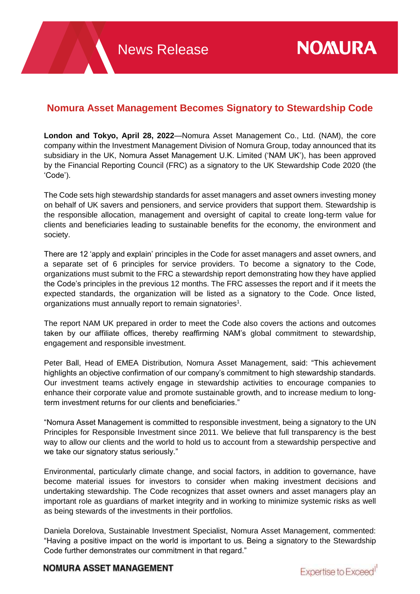## **Nomura Asset Management Becomes Signatory to Stewardship Code**

**London and Tokyo, April 28, 2022**—Nomura Asset Management Co., Ltd. (NAM), the core company within the Investment Management Division of Nomura Group, today announced that its subsidiary in the UK, Nomura Asset Management U.K. Limited ('NAM UK'), has been approved by the Financial Reporting Council (FRC) as a signatory to the UK Stewardship Code 2020 (the 'Code').

The Code sets high stewardship standards for asset managers and asset owners investing money on behalf of UK savers and pensioners, and service providers that support them. Stewardship is the responsible allocation, management and oversight of capital to create long-term value for clients and beneficiaries leading to sustainable benefits for the economy, the environment and society.

There are 12 'apply and explain' principles in the Code for asset managers and asset owners, and a separate set of 6 principles for service providers. To become a signatory to the Code, organizations must submit to the FRC a stewardship report demonstrating how they have applied the Code's principles in the previous 12 months. The FRC assesses the report and if it meets the expected standards, the organization will be listed as a signatory to the Code. Once listed, organizations must annually report to remain signatories<sup>1</sup>.

The report NAM UK prepared in order to meet the Code also covers the actions and outcomes taken by our affiliate offices, thereby reaffirming NAM's global commitment to stewardship, engagement and responsible investment.

Peter Ball, Head of EMEA Distribution, Nomura Asset Management, said: "This achievement highlights an objective confirmation of our company's commitment to high stewardship standards. Our investment teams actively engage in stewardship activities to encourage companies to enhance their corporate value and promote sustainable growth, and to increase medium to longterm investment returns for our clients and beneficiaries."

"Nomura Asset Management is committed to responsible investment, being a signatory to the UN Principles for Responsible Investment since 2011. We believe that full transparency is the best way to allow our clients and the world to hold us to account from a stewardship perspective and we take our signatory status seriously."

Environmental, particularly climate change, and social factors, in addition to governance, have become material issues for investors to consider when making investment decisions and undertaking stewardship. The Code recognizes that asset owners and asset managers play an important role as guardians of market integrity and in working to minimize systemic risks as well as being stewards of the investments in their portfolios.

Daniela Dorelova, Sustainable Investment Specialist, Nomura Asset Management, commented: "Having a positive impact on the world is important to us. Being a signatory to the Stewardship Code further demonstrates our commitment in that regard."

## **NOMURA ASSET MANAGEMENT**